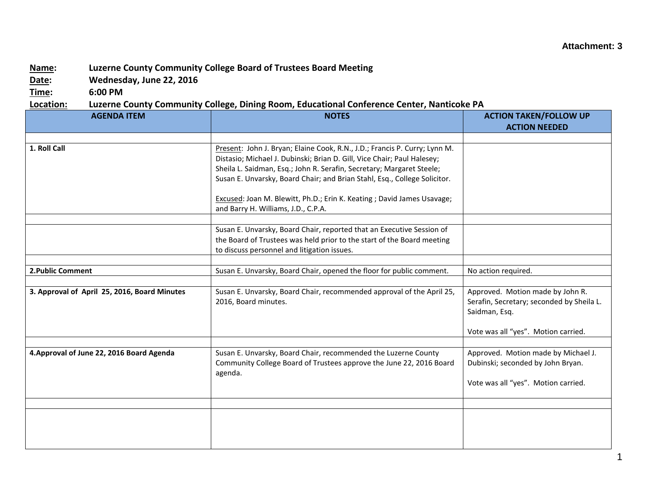## **Attachment: 3**

## **Name: Luzerne County Community College Board of Trustees Board Meeting**

**Date: Wednesday, June 22, 2016**

**Time: 6:00 PM**

## **Location: Luzerne County Community College, Dining Room, Educational Conference Center, Nanticoke PA**

| <b>AGENDA ITEM</b>                           | <b>NOTES</b>                                                               | <b>ACTION TAKEN/FOLLOW UP</b>             |
|----------------------------------------------|----------------------------------------------------------------------------|-------------------------------------------|
|                                              |                                                                            | <b>ACTION NEEDED</b>                      |
|                                              |                                                                            |                                           |
| 1. Roll Call                                 | Present: John J. Bryan; Elaine Cook, R.N., J.D.; Francis P. Curry; Lynn M. |                                           |
|                                              | Distasio; Michael J. Dubinski; Brian D. Gill, Vice Chair; Paul Halesey;    |                                           |
|                                              | Sheila L. Saidman, Esq.; John R. Serafin, Secretary; Margaret Steele;      |                                           |
|                                              | Susan E. Unvarsky, Board Chair; and Brian Stahl, Esq., College Solicitor.  |                                           |
|                                              | Excused: Joan M. Blewitt, Ph.D.; Erin K. Keating ; David James Usavage;    |                                           |
|                                              | and Barry H. Williams, J.D., C.P.A.                                        |                                           |
|                                              |                                                                            |                                           |
|                                              | Susan E. Unvarsky, Board Chair, reported that an Executive Session of      |                                           |
|                                              | the Board of Trustees was held prior to the start of the Board meeting     |                                           |
|                                              | to discuss personnel and litigation issues.                                |                                           |
|                                              |                                                                            |                                           |
| 2. Public Comment                            | Susan E. Unvarsky, Board Chair, opened the floor for public comment.       | No action required.                       |
|                                              |                                                                            |                                           |
| 3. Approval of April 25, 2016, Board Minutes | Susan E. Unvarsky, Board Chair, recommended approval of the April 25,      | Approved. Motion made by John R.          |
|                                              | 2016, Board minutes.                                                       | Serafin, Secretary; seconded by Sheila L. |
|                                              |                                                                            | Saidman, Esq.                             |
|                                              |                                                                            | Vote was all "yes". Motion carried.       |
|                                              |                                                                            |                                           |
| 4. Approval of June 22, 2016 Board Agenda    | Susan E. Unvarsky, Board Chair, recommended the Luzerne County             | Approved. Motion made by Michael J.       |
|                                              | Community College Board of Trustees approve the June 22, 2016 Board        | Dubinski; seconded by John Bryan.         |
|                                              | agenda.                                                                    |                                           |
|                                              |                                                                            | Vote was all "yes". Motion carried.       |
|                                              |                                                                            |                                           |
|                                              |                                                                            |                                           |
|                                              |                                                                            |                                           |
|                                              |                                                                            |                                           |
|                                              |                                                                            |                                           |
|                                              |                                                                            |                                           |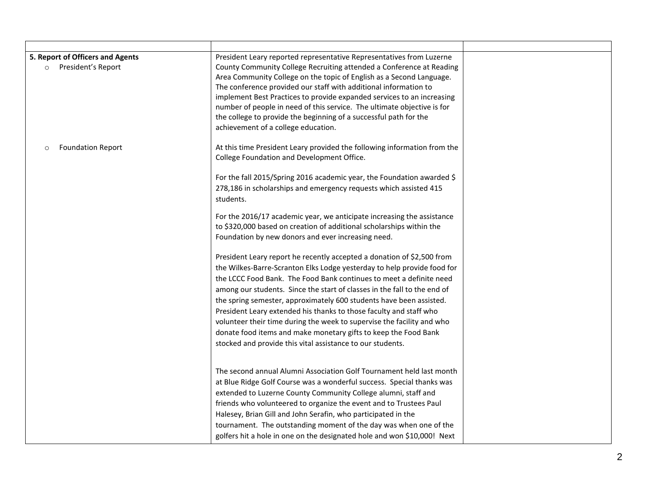| 5. Report of Officers and Agents<br>President's Report<br>$\circ$ | President Leary reported representative Representatives from Luzerne<br>County Community College Recruiting attended a Conference at Reading<br>Area Community College on the topic of English as a Second Language.<br>The conference provided our staff with additional information to<br>implement Best Practices to provide expanded services to an increasing<br>number of people in need of this service. The ultimate objective is for<br>the college to provide the beginning of a successful path for the<br>achievement of a college education.                                                                                                                                                                                                                                                                                                                                                                                                                                                                                                                                                                                                                                                                                                                                                   |  |
|-------------------------------------------------------------------|-------------------------------------------------------------------------------------------------------------------------------------------------------------------------------------------------------------------------------------------------------------------------------------------------------------------------------------------------------------------------------------------------------------------------------------------------------------------------------------------------------------------------------------------------------------------------------------------------------------------------------------------------------------------------------------------------------------------------------------------------------------------------------------------------------------------------------------------------------------------------------------------------------------------------------------------------------------------------------------------------------------------------------------------------------------------------------------------------------------------------------------------------------------------------------------------------------------------------------------------------------------------------------------------------------------|--|
| <b>Foundation Report</b><br>$\circ$                               | At this time President Leary provided the following information from the<br>College Foundation and Development Office.<br>For the fall 2015/Spring 2016 academic year, the Foundation awarded \$<br>278,186 in scholarships and emergency requests which assisted 415<br>students.<br>For the 2016/17 academic year, we anticipate increasing the assistance<br>to \$320,000 based on creation of additional scholarships within the<br>Foundation by new donors and ever increasing need.<br>President Leary report he recently accepted a donation of \$2,500 from<br>the Wilkes-Barre-Scranton Elks Lodge yesterday to help provide food for<br>the LCCC Food Bank. The Food Bank continues to meet a definite need<br>among our students. Since the start of classes in the fall to the end of<br>the spring semester, approximately 600 students have been assisted.<br>President Leary extended his thanks to those faculty and staff who<br>volunteer their time during the week to supervise the facility and who<br>donate food items and make monetary gifts to keep the Food Bank<br>stocked and provide this vital assistance to our students.<br>The second annual Alumni Association Golf Tournament held last month<br>at Blue Ridge Golf Course was a wonderful success. Special thanks was |  |
|                                                                   | extended to Luzerne County Community College alumni, staff and<br>friends who volunteered to organize the event and to Trustees Paul<br>Halesey, Brian Gill and John Serafin, who participated in the<br>tournament. The outstanding moment of the day was when one of the<br>golfers hit a hole in one on the designated hole and won \$10,000! Next                                                                                                                                                                                                                                                                                                                                                                                                                                                                                                                                                                                                                                                                                                                                                                                                                                                                                                                                                       |  |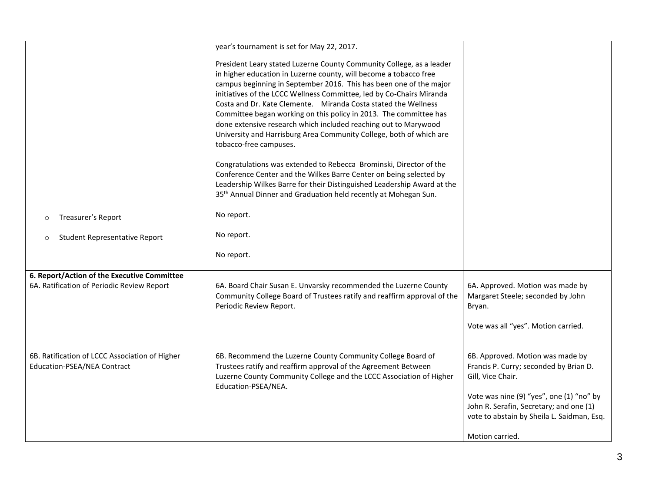|                                                                                      | year's tournament is set for May 22, 2017.                                                                                                                                                                                                                                                                                                                                                                                                                                                                                                                                                         |                                                                                                                                             |
|--------------------------------------------------------------------------------------|----------------------------------------------------------------------------------------------------------------------------------------------------------------------------------------------------------------------------------------------------------------------------------------------------------------------------------------------------------------------------------------------------------------------------------------------------------------------------------------------------------------------------------------------------------------------------------------------------|---------------------------------------------------------------------------------------------------------------------------------------------|
|                                                                                      | President Leary stated Luzerne County Community College, as a leader<br>in higher education in Luzerne county, will become a tobacco free<br>campus beginning in September 2016. This has been one of the major<br>initiatives of the LCCC Wellness Committee, led by Co-Chairs Miranda<br>Costa and Dr. Kate Clemente. Miranda Costa stated the Wellness<br>Committee began working on this policy in 2013. The committee has<br>done extensive research which included reaching out to Marywood<br>University and Harrisburg Area Community College, both of which are<br>tobacco-free campuses. |                                                                                                                                             |
|                                                                                      | Congratulations was extended to Rebecca Brominski, Director of the<br>Conference Center and the Wilkes Barre Center on being selected by<br>Leadership Wilkes Barre for their Distinguished Leadership Award at the<br>35 <sup>th</sup> Annual Dinner and Graduation held recently at Mohegan Sun.                                                                                                                                                                                                                                                                                                 |                                                                                                                                             |
| Treasurer's Report<br>$\circ$                                                        | No report.                                                                                                                                                                                                                                                                                                                                                                                                                                                                                                                                                                                         |                                                                                                                                             |
| Student Representative Report<br>$\circ$                                             | No report.                                                                                                                                                                                                                                                                                                                                                                                                                                                                                                                                                                                         |                                                                                                                                             |
|                                                                                      | No report.                                                                                                                                                                                                                                                                                                                                                                                                                                                                                                                                                                                         |                                                                                                                                             |
|                                                                                      |                                                                                                                                                                                                                                                                                                                                                                                                                                                                                                                                                                                                    |                                                                                                                                             |
| 6. Report/Action of the Executive Committee                                          |                                                                                                                                                                                                                                                                                                                                                                                                                                                                                                                                                                                                    |                                                                                                                                             |
| 6A. Ratification of Periodic Review Report                                           | 6A. Board Chair Susan E. Unvarsky recommended the Luzerne County<br>Community College Board of Trustees ratify and reaffirm approval of the<br>Periodic Review Report.                                                                                                                                                                                                                                                                                                                                                                                                                             | 6A. Approved. Motion was made by<br>Margaret Steele; seconded by John<br>Bryan.                                                             |
|                                                                                      |                                                                                                                                                                                                                                                                                                                                                                                                                                                                                                                                                                                                    | Vote was all "yes". Motion carried.                                                                                                         |
| 6B. Ratification of LCCC Association of Higher<br><b>Education-PSEA/NEA Contract</b> | 6B. Recommend the Luzerne County Community College Board of<br>Trustees ratify and reaffirm approval of the Agreement Between<br>Luzerne County Community College and the LCCC Association of Higher<br>Education-PSEA/NEA.                                                                                                                                                                                                                                                                                                                                                                        | 6B. Approved. Motion was made by<br>Francis P. Curry; seconded by Brian D.<br>Gill, Vice Chair.<br>Vote was nine (9) "yes", one (1) "no" by |
|                                                                                      |                                                                                                                                                                                                                                                                                                                                                                                                                                                                                                                                                                                                    | John R. Serafin, Secretary; and one (1)<br>vote to abstain by Sheila L. Saidman, Esq.                                                       |
|                                                                                      |                                                                                                                                                                                                                                                                                                                                                                                                                                                                                                                                                                                                    | Motion carried.                                                                                                                             |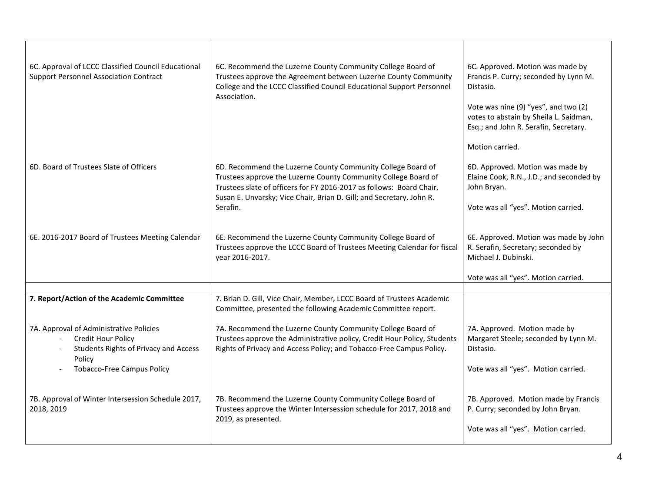| 6C. Approval of LCCC Classified Council Educational<br><b>Support Personnel Association Contract</b>                                                         | 6C. Recommend the Luzerne County Community College Board of<br>Trustees approve the Agreement between Luzerne County Community<br>College and the LCCC Classified Council Educational Support Personnel<br>Association.                                                                   | 6C. Approved. Motion was made by<br>Francis P. Curry; seconded by Lynn M.<br>Distasio.<br>Vote was nine (9) "yes", and two (2)<br>votes to abstain by Sheila L. Saidman,<br>Esq.; and John R. Serafin, Secretary. |
|--------------------------------------------------------------------------------------------------------------------------------------------------------------|-------------------------------------------------------------------------------------------------------------------------------------------------------------------------------------------------------------------------------------------------------------------------------------------|-------------------------------------------------------------------------------------------------------------------------------------------------------------------------------------------------------------------|
| 6D. Board of Trustees Slate of Officers                                                                                                                      | 6D. Recommend the Luzerne County Community College Board of<br>Trustees approve the Luzerne County Community College Board of<br>Trustees slate of officers for FY 2016-2017 as follows: Board Chair,<br>Susan E. Unvarsky; Vice Chair, Brian D. Gill; and Secretary, John R.<br>Serafin. | Motion carried.<br>6D. Approved. Motion was made by<br>Elaine Cook, R.N., J.D.; and seconded by<br>John Bryan.<br>Vote was all "yes". Motion carried.                                                             |
| 6E. 2016-2017 Board of Trustees Meeting Calendar                                                                                                             | 6E. Recommend the Luzerne County Community College Board of<br>Trustees approve the LCCC Board of Trustees Meeting Calendar for fiscal<br>year 2016-2017.                                                                                                                                 | 6E. Approved. Motion was made by John<br>R. Serafin, Secretary; seconded by<br>Michael J. Dubinski.<br>Vote was all "yes". Motion carried.                                                                        |
| 7. Report/Action of the Academic Committee                                                                                                                   | 7. Brian D. Gill, Vice Chair, Member, LCCC Board of Trustees Academic                                                                                                                                                                                                                     |                                                                                                                                                                                                                   |
|                                                                                                                                                              | Committee, presented the following Academic Committee report.                                                                                                                                                                                                                             |                                                                                                                                                                                                                   |
| 7A. Approval of Administrative Policies<br>Credit Hour Policy<br><b>Students Rights of Privacy and Access</b><br>Policy<br><b>Tobacco-Free Campus Policy</b> | 7A. Recommend the Luzerne County Community College Board of<br>Trustees approve the Administrative policy, Credit Hour Policy, Students<br>Rights of Privacy and Access Policy; and Tobacco-Free Campus Policy.                                                                           | 7A. Approved. Motion made by<br>Margaret Steele; seconded by Lynn M.<br>Distasio.<br>Vote was all "yes". Motion carried.                                                                                          |
| 7B. Approval of Winter Intersession Schedule 2017,<br>2018, 2019                                                                                             | 7B. Recommend the Luzerne County Community College Board of<br>Trustees approve the Winter Intersession schedule for 2017, 2018 and<br>2019, as presented.                                                                                                                                | 7B. Approved. Motion made by Francis<br>P. Curry; seconded by John Bryan.<br>Vote was all "yes". Motion carried.                                                                                                  |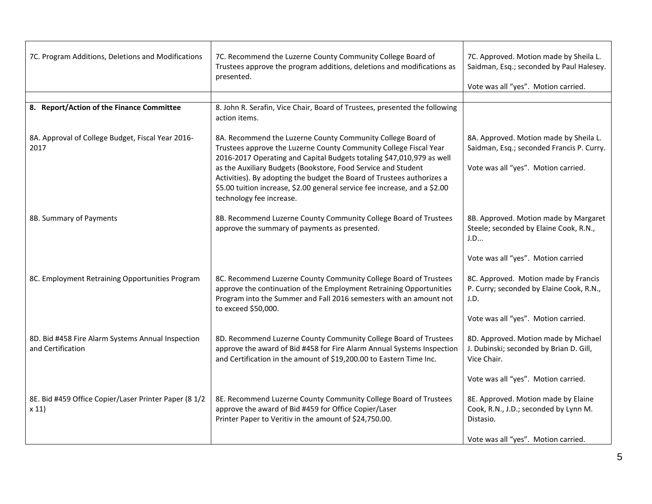| 7C. Program Additions, Deletions and Modifications                     | 7C. Recommend the Luzerne County Community College Board of<br>Trustees approve the program additions, deletions and modifications as<br>presented.                                                                                                                                                                                                                                                                                                                             | 7C. Approved. Motion made by Sheila L.<br>Saidman, Esq.; seconded by Paul Halesey.<br>Vote was all "yes". Motion carried.       |
|------------------------------------------------------------------------|---------------------------------------------------------------------------------------------------------------------------------------------------------------------------------------------------------------------------------------------------------------------------------------------------------------------------------------------------------------------------------------------------------------------------------------------------------------------------------|---------------------------------------------------------------------------------------------------------------------------------|
| 8. Report/Action of the Finance Committee                              | 8. John R. Serafin, Vice Chair, Board of Trustees, presented the following                                                                                                                                                                                                                                                                                                                                                                                                      |                                                                                                                                 |
| 8A. Approval of College Budget, Fiscal Year 2016-<br>2017              | action items.<br>8A. Recommend the Luzerne County Community College Board of<br>Trustees approve the Luzerne County Community College Fiscal Year<br>2016-2017 Operating and Capital Budgets totaling \$47,010,979 as well<br>as the Auxiliary Budgets (Bookstore, Food Service and Student<br>Activities). By adopting the budget the Board of Trustees authorizes a<br>\$5.00 tuition increase, \$2.00 general service fee increase, and a \$2.00<br>technology fee increase. | 8A. Approved. Motion made by Sheila L.<br>Saidman, Esq.; seconded Francis P. Curry.<br>Vote was all "yes". Motion carried.      |
| 8B. Summary of Payments                                                | 8B. Recommend Luzerne County Community College Board of Trustees<br>approve the summary of payments as presented.                                                                                                                                                                                                                                                                                                                                                               | 8B. Approved. Motion made by Margaret<br>Steele; seconded by Elaine Cook, R.N.,<br>J.D                                          |
|                                                                        |                                                                                                                                                                                                                                                                                                                                                                                                                                                                                 | Vote was all "yes". Motion carried                                                                                              |
| 8C. Employment Retraining Opportunities Program                        | 8C. Recommend Luzerne County Community College Board of Trustees<br>approve the continuation of the Employment Retraining Opportunities<br>Program into the Summer and Fall 2016 semesters with an amount not<br>to exceed \$50,000.                                                                                                                                                                                                                                            | 8C. Approved. Motion made by Francis<br>P. Curry; seconded by Elaine Cook, R.N.,<br>J.D.<br>Vote was all "yes". Motion carried. |
| 8D. Bid #458 Fire Alarm Systems Annual Inspection<br>and Certification | 8D. Recommend Luzerne County Community College Board of Trustees<br>approve the award of Bid #458 for Fire Alarm Annual Systems Inspection<br>and Certification in the amount of \$19,200.00 to Eastern Time Inc.                                                                                                                                                                                                                                                               | 8D. Approved. Motion made by Michael<br>J. Dubinski; seconded by Brian D. Gill,<br>Vice Chair.                                  |
|                                                                        |                                                                                                                                                                                                                                                                                                                                                                                                                                                                                 | Vote was all "yes". Motion carried.                                                                                             |
| 8E. Bid #459 Office Copier/Laser Printer Paper (8 1/2<br>x 11          | 8E. Recommend Luzerne County Community College Board of Trustees<br>approve the award of Bid #459 for Office Copier/Laser<br>Printer Paper to Veritiv in the amount of \$24,750.00.                                                                                                                                                                                                                                                                                             | 8E. Approved. Motion made by Elaine<br>Cook, R.N., J.D.; seconded by Lynn M.<br>Distasio.                                       |
|                                                                        |                                                                                                                                                                                                                                                                                                                                                                                                                                                                                 | Vote was all "yes". Motion carried.                                                                                             |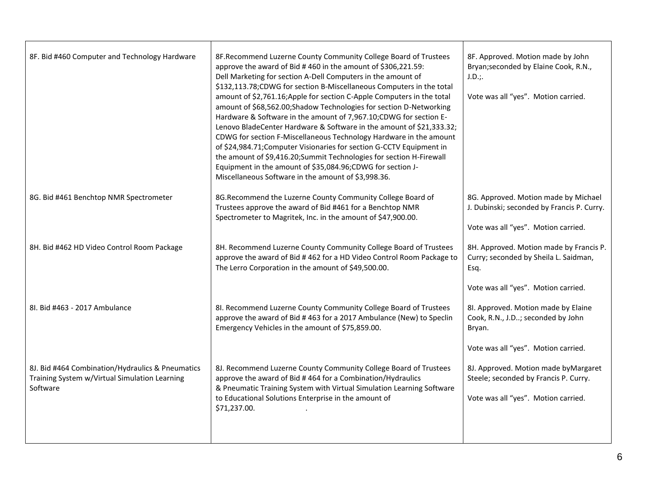| 8F. Bid #460 Computer and Technology Hardware                                                                 | 8F. Recommend Luzerne County Community College Board of Trustees<br>approve the award of Bid #460 in the amount of \$306,221.59:<br>Dell Marketing for section A-Dell Computers in the amount of<br>\$132,113.78;CDWG for section B-Miscellaneous Computers in the total<br>amount of \$2,761.16; Apple for section C-Apple Computers in the total<br>amount of \$68,562.00;Shadow Technologies for section D-Networking<br>Hardware & Software in the amount of 7,967.10;CDWG for section E-<br>Lenovo BladeCenter Hardware & Software in the amount of \$21,333.32;<br>CDWG for section F-Miscellaneous Technology Hardware in the amount<br>of \$24,984.71; Computer Visionaries for section G-CCTV Equipment in<br>the amount of \$9,416.20;Summit Technologies for section H-Firewall<br>Equipment in the amount of \$35,084.96;CDWG for section J-<br>Miscellaneous Software in the amount of \$3,998.36. | 8F. Approved. Motion made by John<br>Bryan; seconded by Elaine Cook, R.N.,<br>J.D.;<br>Vote was all "yes". Motion carried.                                   |
|---------------------------------------------------------------------------------------------------------------|-----------------------------------------------------------------------------------------------------------------------------------------------------------------------------------------------------------------------------------------------------------------------------------------------------------------------------------------------------------------------------------------------------------------------------------------------------------------------------------------------------------------------------------------------------------------------------------------------------------------------------------------------------------------------------------------------------------------------------------------------------------------------------------------------------------------------------------------------------------------------------------------------------------------|--------------------------------------------------------------------------------------------------------------------------------------------------------------|
| 8G. Bid #461 Benchtop NMR Spectrometer                                                                        | 8G.Recommend the Luzerne County Community College Board of<br>Trustees approve the award of Bid #461 for a Benchtop NMR<br>Spectrometer to Magritek, Inc. in the amount of \$47,900.00.                                                                                                                                                                                                                                                                                                                                                                                                                                                                                                                                                                                                                                                                                                                         | 8G. Approved. Motion made by Michael<br>J. Dubinski; seconded by Francis P. Curry.<br>Vote was all "yes". Motion carried.                                    |
| 8H. Bid #462 HD Video Control Room Package                                                                    | 8H. Recommend Luzerne County Community College Board of Trustees<br>approve the award of Bid #462 for a HD Video Control Room Package to<br>The Lerro Corporation in the amount of \$49,500.00.                                                                                                                                                                                                                                                                                                                                                                                                                                                                                                                                                                                                                                                                                                                 | 8H. Approved. Motion made by Francis P.<br>Curry; seconded by Sheila L. Saidman,<br>Esq.<br>Vote was all "yes". Motion carried.                              |
| 8I. Bid #463 - 2017 Ambulance                                                                                 | 8I. Recommend Luzerne County Community College Board of Trustees<br>approve the award of Bid #463 for a 2017 Ambulance (New) to Speclin<br>Emergency Vehicles in the amount of \$75,859.00.                                                                                                                                                                                                                                                                                                                                                                                                                                                                                                                                                                                                                                                                                                                     | 8I. Approved. Motion made by Elaine<br>Cook, R.N., J.D; seconded by John<br>Bryan.                                                                           |
| 8J. Bid #464 Combination/Hydraulics & Pneumatics<br>Training System w/Virtual Simulation Learning<br>Software | 8J. Recommend Luzerne County Community College Board of Trustees<br>approve the award of Bid #464 for a Combination/Hydraulics<br>& Pneumatic Training System with Virtual Simulation Learning Software<br>to Educational Solutions Enterprise in the amount of<br>\$71,237.00.                                                                                                                                                                                                                                                                                                                                                                                                                                                                                                                                                                                                                                 | Vote was all "yes". Motion carried.<br>8J. Approved. Motion made by Margaret<br>Steele; seconded by Francis P. Curry.<br>Vote was all "yes". Motion carried. |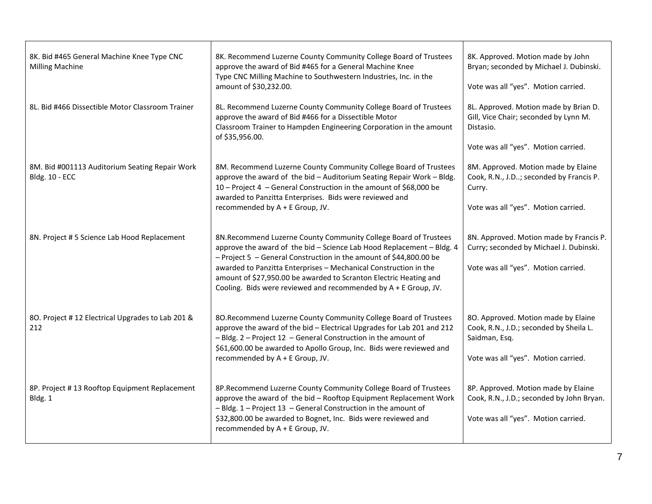| 8K. Bid #465 General Machine Knee Type CNC<br><b>Milling Machine</b>    | 8K. Recommend Luzerne County Community College Board of Trustees<br>approve the award of Bid #465 for a General Machine Knee<br>Type CNC Milling Machine to Southwestern Industries, Inc. in the<br>amount of \$30,232.00.                                                                                                                                                                                                   | 8K. Approved. Motion made by John<br>Bryan; seconded by Michael J. Dubinski.<br>Vote was all "yes". Motion carried.                    |
|-------------------------------------------------------------------------|------------------------------------------------------------------------------------------------------------------------------------------------------------------------------------------------------------------------------------------------------------------------------------------------------------------------------------------------------------------------------------------------------------------------------|----------------------------------------------------------------------------------------------------------------------------------------|
| 8L. Bid #466 Dissectible Motor Classroom Trainer                        | 8L. Recommend Luzerne County Community College Board of Trustees<br>approve the award of Bid #466 for a Dissectible Motor<br>Classroom Trainer to Hampden Engineering Corporation in the amount<br>of \$35,956.00.                                                                                                                                                                                                           | 8L. Approved. Motion made by Brian D.<br>Gill, Vice Chair; seconded by Lynn M.<br>Distasio.<br>Vote was all "yes". Motion carried.     |
| 8M. Bid #001113 Auditorium Seating Repair Work<br><b>Bldg. 10 - ECC</b> | 8M. Recommend Luzerne County Community College Board of Trustees<br>approve the award of the bid - Auditorium Seating Repair Work - Bldg.<br>10 - Project 4 - General Construction in the amount of \$68,000 be<br>awarded to Panzitta Enterprises. Bids were reviewed and<br>recommended by A + E Group, JV.                                                                                                                | 8M. Approved. Motion made by Elaine<br>Cook, R.N., J.D; seconded by Francis P.<br>Curry.<br>Vote was all "yes". Motion carried.        |
| 8N. Project # 5 Science Lab Hood Replacement                            | 8N.Recommend Luzerne County Community College Board of Trustees<br>approve the award of the bid - Science Lab Hood Replacement - Bldg. 4<br>- Project 5 - General Construction in the amount of \$44,800.00 be<br>awarded to Panzitta Enterprises - Mechanical Construction in the<br>amount of \$27,950.00 be awarded to Scranton Electric Heating and<br>Cooling. Bids were reviewed and recommended by $A + E$ Group, JV. | 8N. Approved. Motion made by Francis P.<br>Curry; seconded by Michael J. Dubinski.<br>Vote was all "yes". Motion carried.              |
| 80. Project #12 Electrical Upgrades to Lab 201 &<br>212                 | 80. Recommend Luzerne County Community College Board of Trustees<br>approve the award of the bid - Electrical Upgrades for Lab 201 and 212<br>- Bldg. 2 - Project 12 - General Construction in the amount of<br>\$61,600.00 be awarded to Apollo Group, Inc. Bids were reviewed and<br>recommended by A + E Group, JV.                                                                                                       | 80. Approved. Motion made by Elaine<br>Cook, R.N., J.D.; seconded by Sheila L.<br>Saidman, Esq.<br>Vote was all "yes". Motion carried. |
| 8P. Project #13 Rooftop Equipment Replacement<br>Bldg. 1                | 8P.Recommend Luzerne County Community College Board of Trustees<br>approve the award of the bid - Rooftop Equipment Replacement Work<br>- Bldg. 1 - Project 13 - General Construction in the amount of<br>\$32,800.00 be awarded to Bognet, Inc. Bids were reviewed and<br>recommended by A + E Group, JV.                                                                                                                   | 8P. Approved. Motion made by Elaine<br>Cook, R.N., J.D.; seconded by John Bryan.<br>Vote was all "yes". Motion carried.                |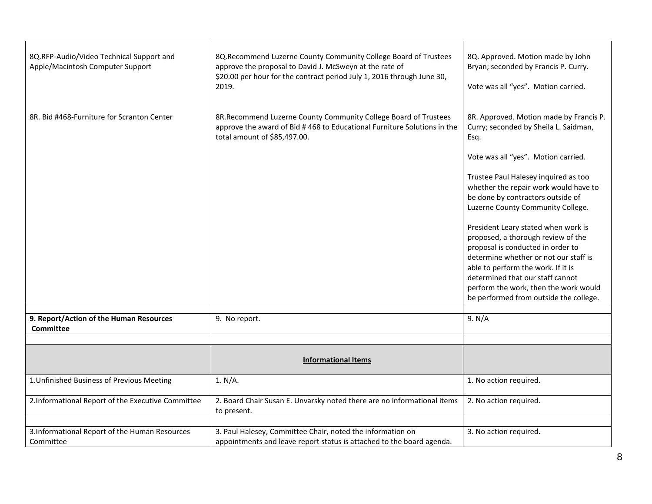| 8Q.RFP-Audio/Video Technical Support and<br>Apple/Macintosh Computer Support | 8Q. Recommend Luzerne County Community College Board of Trustees<br>approve the proposal to David J. McSweyn at the rate of<br>\$20.00 per hour for the contract period July 1, 2016 through June 30,<br>2019. | 8Q. Approved. Motion made by John<br>Bryan; seconded by Francis P. Curry.<br>Vote was all "yes". Motion carried.                                                                                                                                                                                                     |
|------------------------------------------------------------------------------|----------------------------------------------------------------------------------------------------------------------------------------------------------------------------------------------------------------|----------------------------------------------------------------------------------------------------------------------------------------------------------------------------------------------------------------------------------------------------------------------------------------------------------------------|
| 8R. Bid #468-Furniture for Scranton Center                                   | 8R.Recommend Luzerne County Community College Board of Trustees<br>approve the award of Bid #468 to Educational Furniture Solutions in the<br>total amount of \$85,497.00.                                     | 8R. Approved. Motion made by Francis P.<br>Curry; seconded by Sheila L. Saidman,<br>Esq.                                                                                                                                                                                                                             |
|                                                                              |                                                                                                                                                                                                                | Vote was all "yes". Motion carried.                                                                                                                                                                                                                                                                                  |
|                                                                              |                                                                                                                                                                                                                | Trustee Paul Halesey inquired as too<br>whether the repair work would have to<br>be done by contractors outside of<br>Luzerne County Community College.                                                                                                                                                              |
|                                                                              |                                                                                                                                                                                                                | President Leary stated when work is<br>proposed, a thorough review of the<br>proposal is conducted in order to<br>determine whether or not our staff is<br>able to perform the work. If it is<br>determined that our staff cannot<br>perform the work, then the work would<br>be performed from outside the college. |
| 9. Report/Action of the Human Resources                                      | 9. No report.                                                                                                                                                                                                  | 9. N/A                                                                                                                                                                                                                                                                                                               |
| <b>Committee</b>                                                             |                                                                                                                                                                                                                |                                                                                                                                                                                                                                                                                                                      |
|                                                                              |                                                                                                                                                                                                                |                                                                                                                                                                                                                                                                                                                      |
|                                                                              | <b>Informational Items</b>                                                                                                                                                                                     |                                                                                                                                                                                                                                                                                                                      |
| 1. Unfinished Business of Previous Meeting                                   | 1. N/A.                                                                                                                                                                                                        | 1. No action required.                                                                                                                                                                                                                                                                                               |
| 2.Informational Report of the Executive Committee                            | 2. Board Chair Susan E. Unvarsky noted there are no informational items<br>to present.                                                                                                                         | 2. No action required.                                                                                                                                                                                                                                                                                               |
|                                                                              |                                                                                                                                                                                                                |                                                                                                                                                                                                                                                                                                                      |
| 3.Informational Report of the Human Resources<br>Committee                   | 3. Paul Halesey, Committee Chair, noted the information on<br>appointments and leave report status is attached to the board agenda.                                                                            | 3. No action required.                                                                                                                                                                                                                                                                                               |